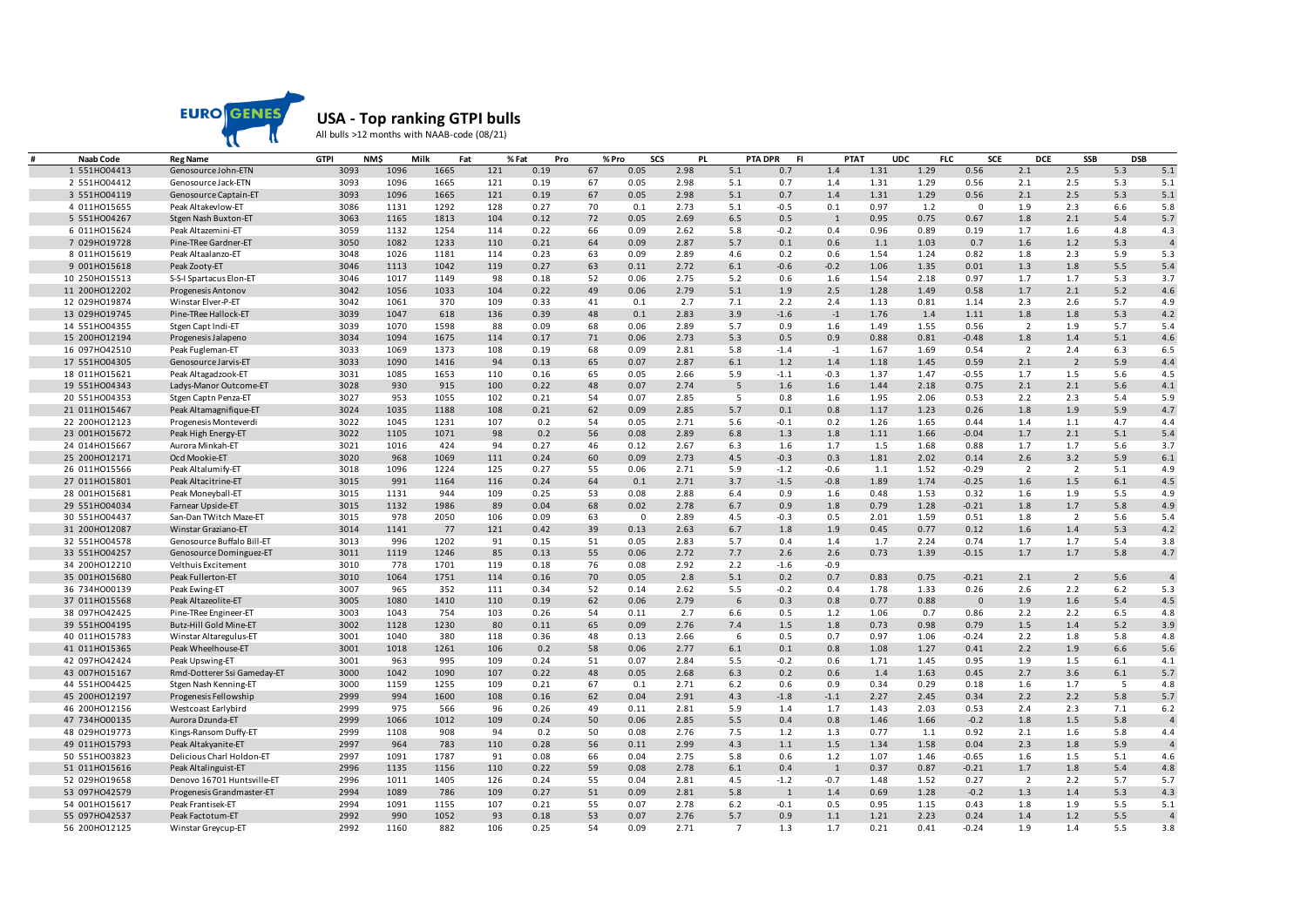

## **USA - Top ranking GTPI bulls**

All bulls >12 months with NAAB-code (08/21)

| Naab Code     | <b>Reg Name</b>               | <b>GTPI</b>  | <b>NMS</b>  | Milk<br>Fat  |            | % Fat<br>Pro |          | % Pro       | SCS<br><b>PL</b> |                 | <b>PTA DPR</b><br>-FI | <b>PTAT</b>   |              | <b>UDC</b> | <b>FLC</b><br><b>SCE</b> | <b>DCE</b>     | SSB            | <b>DSB</b> |                       |
|---------------|-------------------------------|--------------|-------------|--------------|------------|--------------|----------|-------------|------------------|-----------------|-----------------------|---------------|--------------|------------|--------------------------|----------------|----------------|------------|-----------------------|
| 1 551H004413  | Genosource John-ETN           | 3093         | 1096        | 1665         | 121        | 0.19         | 67       | 0.05        | 2.98             | 5.1             | 0.7                   | 1.4           | 1.31         | 1.29       | 0.56                     | 2.1            | 2.5            | 5.3        | 5.1                   |
| 2 551H004412  | Genosource Jack-ETN           | 3093         | 1096        | 1665         | 121        | 0.19         | 67       | 0.05        | 2.98             | 5.1             | 0.7                   | 1.4           | 1.31         | 1.29       | 0.56                     | 2.1            | 2.5            | 5.3        | 5.1                   |
| 3 551H004119  | Genosource Captain-ET         | 3093         | 1096        | 1665         | 121        | 0.19         | 67       | 0.05        | 2.98             | 5.1             | 0.7                   | 1.4           | 1.31         | 1.29       | 0.56                     | 2.1            | 2.5            | 5.3        | 5.1                   |
| 4 011H015655  | Peak Altakevlow-ET            | 3086         | 1131        | 1292         | 128        | 0.27         | 70       | 0.1         | 2.73             | 5.1             | $-0.5$                | 0.1           | 0.97         | 1.2        | $\Omega$                 | 1.9            | 2.3            | 6.6        | 5.8                   |
| 5 551H004267  | Stgen Nash Buxton-ET          | 3063         | 1165        | 1813         | 104        | 0.12         | 72       | 0.05        | 2.69             | 6.5             | 0.5                   | 1             | 0.95         | 0.75       | 0.67                     | 1.8            | 2.1            | 5.4        | 5.7                   |
| 6 011H015624  | Peak Altazemini-ET            | 3059         | 1132        | 1254         | 114        | 0.22         | 66       | 0.09        | 2.62             | 5.8             | $-0.2$                | 0.4           | 0.96         | 0.89       | 0.19                     | 1.7            | 1.6            | 4.8        | 4.3                   |
| 7 029H019728  | Pine-TRee Gardner-ET          | 3050         | 1082        | 1233         | 110        | 0.21         | 64       | 0.09        | 2.87             | 5.7             | 0.1                   | 0.6           | 1.1          | 1.03       | 0.7                      | 1.6            | 1.2            | 5.3        | $\overline{4}$        |
| 8 011H015619  | Peak Altaalanzo-ET            | 3048         | 1026        | 1181         | 114        | 0.23         | 63       | 0.09        | 2.89             | 4.6             | 0.2                   | 0.6           | 1.54         | 1.24       | 0.82                     | 1.8            | 2.3            | 5.9        | 5.3                   |
| 9 001H015618  | Peak Zooty-ET                 | 3046         | 1113        | 1042         | 119        | 0.27         | 63       | 0.11        | 2.72             | 6.1             | $-0.6$                | $-0.2$        | 1.06         | 1.35       | 0.01                     | 1.3            | 1.8            | 5.5        | 5.4                   |
| 10 250HO15513 | S-S-I Spartacus Elon-ET       | 3046         | 1017        | 1149         | 98         | 0.18         | 52       | 0.06        | 2.75             | 5.2             | 0.6                   | 1.6           | 1.54         | 2.18       | 0.97                     | 1.7            | 1.7            | 5.3        | 3.7                   |
| 11 200HO12202 | Progenesis Antonov            | 3042         | 1056        | 1033         | 104        | 0.22         | 49       | 0.06        | 2.79             | 5.1             | 1.9                   | 2.5           | 1.28         | 1.49       | 0.58                     | 1.7            | 2.1            | 5.2        | 4.6                   |
| 12 029H019874 | Winstar Elver-P-ET            | 3042         | 1061        | 370          | 109        | 0.33         | 41       | 0.1         | 2.7              | 7.1             | 2.2                   | 2.4           | 1.13         | 0.81       | 1.14                     | 2.3            | 2.6            | 5.7        | 4.9                   |
| 13 029H019745 | Pine-TRee Hallock-ET          | 3039         | 1047        | 618          | 136        | 0.39         | 48       | 0.1         | 2.83             | 3.9             | $-1.6$                | $-1$          | 1.76         | 1.4        | 1.11                     | 1.8            | 1.8            | 5.3        | 4.2                   |
| 14 551H004355 | Stgen Capt Indi-ET            | 3039         | 1070        | 1598         | 88         | 0.09         | 68       | 0.06        | 2.89             | 5.7             | 0.9                   | 1.6           | 1.49         | 1.55       | 0.56                     | $\overline{2}$ | 1.9            | 5.7        | 5.4                   |
| 15 200HO12194 | Progenesis Jalapeno           | 3034         | 1094        | 1675         | 114        | 0.17         | 71       | 0.06        | 2.73             | 5.3             | 0.5                   | 0.9           | 0.88         | 0.81       | $-0.48$                  | 1.8            | 1.4            | 5.1        | 4.6                   |
| 16 097H042510 | Peak Fugleman-ET              | 3033         | 1069        | 1373         | 108        | 0.19         | 68       | 0.09        | 2.81             | 5.8             | $-1.4$                | $-1$          | 1.67         | 1.69       | 0.54                     | $\overline{2}$ | 2.4            | 6.3        | 6.5                   |
| 17 551H004305 | Genosource Jarvis-ET          | 3033         | 1090        | 1416         | 94         | 0.13         | 65       | 0.07        | 2.87             | $6.1\,$         | 1.2                   | 1.4           | 1.18         | 1.45       | 0.59                     | 2.1            | $\overline{2}$ | 5.9        | 4.4                   |
| 18 011H015621 | Peak Altagadzook-ET           | 3031         | 1085        | 1653         | 110        | 0.16         | 65       | 0.05        | 2.66             | 5.9             | $-1.1$                | $-0.3$        | 1.37         | 1.47       | $-0.55$                  | 1.7            | 1.5            | 5.6        | 4.5                   |
| 19 551H004343 | Ladys-Manor Outcome-ET        | 3028         | 930         | 915          | 100        | 0.22         | 48       | 0.07        | 2.74             | 5               | 1.6                   | 1.6           | 1.44         | 2.18       | 0.75                     | 2.1            | 2.1            | 5.6        | 4.1                   |
| 20 551H004353 | Stgen Captn Penza-ET          | 3027         | 953         | 1055         | 102        | 0.21         | 54       | 0.07        | 2.85             | 5               | 0.8                   | 1.6           | 1.95         | 2.06       | 0.53                     | 2.2            | 2.3            | 5.4        | 5.9                   |
| 21 011H015467 | Peak Altamagnifique-ET        | 3024         | 1035        | 1188         | 108        | 0.21         | 62       | 0.09        | 2.85             | 5.7             | 0.1                   | 0.8           | 1.17         | 1.23       | 0.26                     | 1.8            | 1.9            | 5.9        | 4.7                   |
| 22 200HO12123 | Progenesis Monteverdi         | 3022         | 1045        | 1231         | 107        | 0.2          | 54       | 0.05        | 2.71             | 5.6             | $-0.1$                | 0.2           | 1.26         | 1.65       | 0.44                     | 1.4            | 1.1            | 4.7        | 4.4                   |
| 23 001H015672 | Peak High Energy-ET           | 3022         | 1105        | 1071         | 98         | 0.2          | 56       | 0.08        | 2.89             | 6.8             | 1.3                   | 1.8           | 1.11         | 1.66       | $-0.04$                  | 1.7            | 2.1            | 5.1        | 5.4                   |
| 24 014H015667 | Aurora Minkah-ET              | 3021         | 1016        | 424          | 94         | 0.27         | 46       | 0.12        | 2.67             | 6.3             | 1.6                   | 1.7           | 1.5          | 1.68       | 0.88                     | 1.7            | 1.7            | 5.6        | 3.7                   |
| 25 200HO12171 | Ocd Mookie-ET                 | 3020         | 968         | 1069         | 111        | 0.24         | 60       | 0.09        | 2.73             | 4.5             | $-0.3$                | 0.3           | 1.81         | 2.02       | 0.14                     | 2.6            | 3.2            | 5.9        | 6.1                   |
| 26 011H015566 | Peak Altalumify-ET            | 3018         | 1096        | 1224         | 125        | 0.27         | 55       | 0.06        | 2.71             | 5.9             | $-1.2$                | $-0.6$        | 1.1          | 1.52       | $-0.29$                  | $\overline{2}$ | $\overline{2}$ | 5.1        | 4.9                   |
| 27 011H015801 | Peak Altacitrine-ET           | 3015         | 991         | 1164         | 116        | 0.24         | 64       | 0.1         | 2.71             | 3.7             | $-1.5$                | $-0.8$        | 1.89         | 1.74       | $-0.25$                  | 1.6            | 1.5            | $6.1$      | 4.5                   |
| 28 001H015681 | Peak Moneyball-ET             | 3015         | 1131        | 944          | 109        | 0.25         | 53       | 0.08        | 2.88             | 6.4             | 0.9                   | 1.6           | 0.48         | 1.53       | 0.32                     | 1.6            | 1.9            | 5.5        | 4.9                   |
| 29 551H004034 | Farnear Upside-ET             | 3015         | 1132        | 1986         | 89         | 0.04         | 68       | 0.02        | 2.78             | 6.7             | 0.9                   | 1.8           | 0.79         | 1.28       | $-0.21$                  | 1.8            | 1.7            | 5.8        | 4.9                   |
| 30 551H004437 | San-Dan TWitch Maze-ET        | 3015         | 978         | 2050         | 106        | 0.09         | 63       | $\mathbf 0$ | 2.89             | 4.5             | $-0.3$                | 0.5           | 2.01         | 1.59       | 0.51                     | 1.8            | $\overline{2}$ | 5.6        | 5.4                   |
| 31 200HO12087 | Winstar Graziano-ET           | 3014         | 1141        | 77           | 121        | 0.42         | 39       |             | 2.63             | 6.7             | 1.8                   | 1.9           | 0.45         | 0.77       | 0.12                     | 1.6            | 1.4            | 5.3        | 4.2                   |
|               |                               | 3013         | 996         |              | 91         |              |          | 0.13        |                  |                 |                       | 1.4           |              |            |                          |                |                | 5.4        | 3.8                   |
| 32 551H004578 | Genosource Buffalo Bill-ET    |              |             | 1202         |            | 0.15         | 51       | 0.05        | 2.83             | 5.7             | 0.4                   |               | 1.7<br>0.73  | 2.24       | 0.74                     | 1.7            | 1.7            |            |                       |
| 33 551H004257 | Genosource Dominguez-ET       | 3011<br>3010 | 1119<br>778 | 1246<br>1701 | 85<br>119  | 0.13<br>0.18 | 55       | 0.06        | 2.72             | 7.7             | 2.6                   | 2.6<br>$-0.9$ |              | 1.39       | $-0.15$                  | 1.7            | 1.7            | 5.8        | 4.7                   |
| 34 200HO12210 | Velthuis Excitement           |              |             |              |            |              | 76       | 0.08        | 2.92             | 2.2             | $-1.6$                |               |              |            |                          |                |                |            |                       |
| 35 001H015680 | Peak Fullerton-ET             | 3010<br>3007 | 1064<br>965 | 1751<br>352  | 114<br>111 | 0.16<br>0.34 | 70<br>52 | 0.05        | 2.8<br>2.62      | 5.1<br>5.5      | 0.2<br>$-0.2$         | 0.7<br>0.4    | 0.83<br>1.78 | 0.75       | $-0.21$                  | 2.1<br>2.6     | $\overline{2}$ | 5.6<br>6.2 | $\overline{4}$<br>5.3 |
| 36 734H000139 | Peak Ewing-ET                 |              |             |              |            |              |          | 0.14        |                  |                 |                       |               |              | 1.33       | 0.26                     |                | 2.2            |            |                       |
| 37 011H015568 | Peak Altazeolite-ET           | 3005         | 1080        | 1410         | 110        | 0.19         | 62       | 0.06        | 2.79             | 6               | 0.3                   | 0.8           | 0.77         | 0.88       | $\mathbf{0}$             | 1.9            | 1.6            | 5.4        | 4.5                   |
| 38 097H042425 | Pine-TRee Engineer-ET         | 3003         | 1043        | 754          | 103        | 0.26         | 54       | 0.11        | 2.7              | 6.6             | 0.5                   | 1.2           | 1.06         | 0.7        | 0.86                     | 2.2            | 2.2            | 6.5        | 4.8                   |
| 39 551H004195 | <b>Butz-Hill Gold Mine-ET</b> | 3002         | 1128        | 1230         | 80         | 0.11         | 65       | 0.09        | 2.76             | 7.4             | 1.5                   | 1.8           | 0.73<br>0.97 | 0.98       | 0.79                     | 1.5            | 1.4            | 5.2        | 3.9                   |
| 40 011H015783 | Winstar Altaregulus-ET        | 3001         | 1040        | 380          | 118        | 0.36         | 48       | 0.13        | 2.66             | 6               | 0.5                   | 0.7           |              | 1.06       | $-0.24$                  | 2.2            | 1.8            | 5.8        | 4.8                   |
| 41 011H015365 | Peak Wheelhouse-ET            | 3001         | 1018        | 1261         | 106        | 0.2          | 58       | 0.06        | 2.77             | $6.1\,$         | 0.1                   | 0.8           | 1.08         | 1.27       | 0.41                     | 2.2            | 1.9            | 6.6        | 5.6                   |
| 42 097H042424 | Peak Upswing-ET               | 3001         | 963         | 995          | 109        | 0.24         | 51       | 0.07        | 2.84             | 5.5             | $-0.2$                | 0.6           | 1.71         | 1.45       | 0.95                     | 1.9            | 1.5            | 6.1        | 4.1                   |
| 43 007H015167 | Rmd-Dotterer Ssi Gameday-ET   | 3000         | 1042        | 1090         | 107        | 0.22         | 48       | 0.05        | 2.68             | 6.3             | 0.2                   | 0.6           | 1.4          | 1.63       | 0.45                     | 2.7            | 3.6            | 6.1        | 5.7                   |
| 44 551H004425 | Stgen Nash Kenning-ET         | 3000         | 1159        | 1255         | 109        | 0.21         | 67       | 0.1         | 2.71             | 6.2             | 0.6                   | 0.9           | 0.34         | 0.29       | 0.18                     | 1.6            | 1.7            | - 5        | 4.8                   |
| 45 200HO12197 | Progenesis Fellowship         | 2999         | 994         | 1600         | 108        | 0.16         | 62       | 0.04        | 2.91             | 4.3             | $-1.8$                | $-1.1$        | 2.27         | 2.45       | 0.34                     | 2.2            | 2.2            | 5.8        | 5.7                   |
| 46 200HO12156 | Westcoast Earlybird           | 2999         | 975         | 566          | 96         | 0.26         | 49       | 0.11        | 2.81             | 5.9             | 1.4                   | 1.7           | 1.43         | 2.03       | 0.53                     | 2.4            | 2.3            | 7.1        | 6.2                   |
| 47 734H000135 | Aurora Dzunda-ET              | 2999         | 1066        | 1012         | 109        | 0.24         | 50       | 0.06        | 2.85             | 5.5             | 0.4                   | 0.8           | 1.46         | 1.66       | $-0.2$                   | 1.8            | 1.5            | 5.8        | $\overline{4}$        |
| 48 029H019773 | Kings-Ransom Duffy-ET         | 2999         | 1108        | 908          | 94         | 0.2          | 50       | 0.08        | 2.76             | 7.5             | 1.2                   | 1.3           | 0.77         | 1.1        | 0.92                     | 2.1            | 1.6            | 5.8        | 4.4                   |
| 49 011H015793 | Peak Altakyanite-ET           | 2997         | 964         | 783          | 110        | 0.28         | 56       | 0.11        | 2.99             | 4.3             | 1.1                   | 1.5           | 1.34         | 1.58       | 0.04                     | 2.3            | 1.8            | 5.9        | $\overline{4}$        |
| 50 551H003823 | Delicious Charl Holdon-ET     | 2997         | 1091        | 1787         | 91         | 0.08         | 66       | 0.04        | 2.75             | 5.8             | 0.6                   | 1.2           | 1.07         | 1.46       | $-0.65$                  | 1.6            | 1.5            | 5.1        | 4.6                   |
| 51 011H015616 | Peak Altalinguist-ET          | 2996         | 1135        | 1156         | 110        | 0.22         | 59       | 0.08        | 2.78             | 6.1             | 0.4                   | 1             | 0.37         | 0.87       | $-0.21$                  | 1.7            | 1.8            | 5.4        | 4.8                   |
| 52 029H019658 | Denovo 16701 Huntsville-ET    | 2996         | 1011        | 1405         | 126        | 0.24         | 55       | 0.04        | 2.81             | 4.5             | $-1.2$                | $-0.7$        | 1.48         | 1.52       | 0.27                     | $\overline{2}$ | 2.2            | 5.7        | 5.7                   |
| 53 097H042579 | Progenesis Grandmaster-ET     | 2994         | 1089        | 786          | 109        | 0.27         | 51       | 0.09        | 2.81             | 5.8             | $\mathbf{1}$          | 1.4           | 0.69         | 1.28       | $-0.2$                   | 1.3            | 1.4            | 5.3        | 4.3                   |
| 54 001H015617 | Peak Frantisek-ET             | 2994         | 1091        | 1155         | 107        | 0.21         | 55       | 0.07        | 2.78             | $6.2$           | $-0.1$                | 0.5           | 0.95         | 1.15       | 0.43                     | 1.8            | 1.9            | 5.5        | 5.1                   |
| 55 097H042537 | Peak Factotum-ET              | 2992         | 990         | 1052         | 93         | 0.18         | 53       | 0.07        | 2.76             | 5.7             | 0.9                   | 1.1           | 1.21         | 2.23       | 0.24                     | 1.4            | 1.2            | 5.5        | $\overline{4}$        |
| 56 200HO12125 | Winstar Greycup-ET            | 2992         | 1160        | 882          | 106        | 0.25         | 54       | 0.09        | 2.71             | $7\overline{ }$ | 1.3                   | 1.7           | 0.21         | 0.41       | $-0.24$                  | 1.9            | 1.4            | 5.5        | 3.8                   |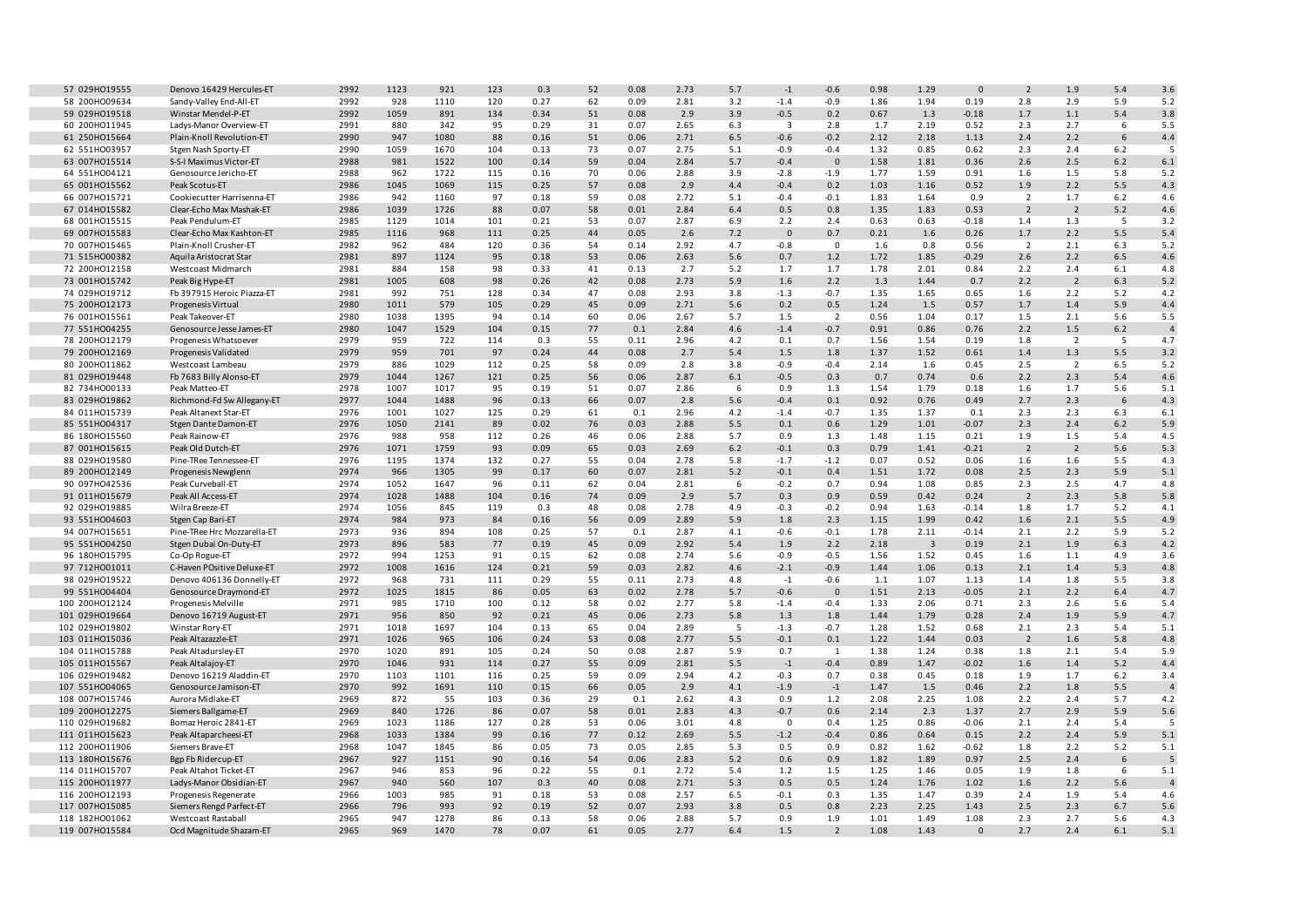| 57 029H019555  | Denovo 16429 Hercules-ET    | 2992 | 1123 | 921  | 123 | 0.3  | 52 | 0.08 | 2.73 | 5.7     | $-1$                    | $-0.6$         | 0.98 | 1.29                    | $\Omega$     | $\overline{2}$ | 1.9            | 5.4   | 3.6            |
|----------------|-----------------------------|------|------|------|-----|------|----|------|------|---------|-------------------------|----------------|------|-------------------------|--------------|----------------|----------------|-------|----------------|
| 58 200HO09634  | Sandy-Valley End-All-ET     | 2992 | 928  | 1110 | 120 | 0.27 | 62 | 0.09 | 2.81 | 3.2     | $-1.4$                  | $-0.9$         | 1.86 | 1.94                    | 0.19         | 2.8            | 2.9            | 5.9   | 5.2            |
| 59 029H019518  | Winstar Mendel-P-ET         | 2992 | 1059 | 891  | 134 | 0.34 | 51 | 0.08 | 2.9  | 3.9     | $-0.5$                  | 0.2            | 0.67 | 1.3                     | $-0.18$      | 1.7            | 1.1            | 5.4   | 3.8            |
| 60 200HO11945  | Ladys-Manor Overview-ET     | 2991 | 880  | 342  | 95  | 0.29 | 31 | 0.07 | 2.65 | 6.3     | $\overline{\mathbf{3}}$ | 2.8            | 1.7  | 2.19                    | 0.52         | 2.3            | 2.7            | 6     | 5.5            |
| 61 250HO15664  | Plain-Knoll Revolution-ET   | 2990 | 947  | 1080 | 88  | 0.16 | 51 | 0.06 | 2.71 | 6.5     | $-0.6$                  | $-0.2$         | 2.12 | 2.18                    | 1.13         | 2.4            | 2.2            | 6     | 4.4            |
|                |                             |      |      |      | 104 |      |    |      |      |         | $-0.9$                  |                | 1.32 | 0.85                    |              |                | 2.4            |       | $\overline{5}$ |
| 62 551H003957  | Stgen Nash Sporty-ET        | 2990 | 1059 | 1670 |     | 0.13 | 73 | 0.07 | 2.75 | 5.1     |                         | $-0.4$         |      |                         | 0.62         | 2.3            |                | 6.2   |                |
| 63 007H015514  | S-S-I Maximus Victor-ET     | 2988 | 981  | 1522 | 100 | 0.14 | 59 | 0.04 | 2.84 | $5.7$   | $-0.4$                  | $\mathbf{0}$   | 1.58 | 1.81                    | 0.36         | 2.6            | 2.5            | $6.2$ | $6.1\,$        |
| 64 551H004121  | Genosource Jericho-ET       | 2988 | 962  | 1722 | 115 | 0.16 | 70 | 0.06 | 2.88 | 3.9     | $-2.8$                  | $-1.9$         | 1.77 | 1.59                    | 0.91         | 1.6            | 1.5            | 5.8   | 5.2            |
| 65 001H015562  | Peak Scotus-ET              | 2986 | 1045 | 1069 | 115 | 0.25 | 57 | 0.08 | 2.9  | 4.4     | $-0.4$                  | 0.2            | 1.03 | 1.16                    | 0.52         | 1.9            | 2.2            | 5.5   | 4.3            |
| 66 007H015721  | Cookiecutter Harrisenna-ET  | 2986 | 942  | 1160 | 97  | 0.18 | 59 | 0.08 | 2.72 | 5.1     | $-0.4$                  | $-0.1$         | 1.83 | 1.64                    | 0.9          | $\overline{2}$ | 1.7            | 6.2   | 4.6            |
| 67 014H015582  | Clear-Echo Max Mashak-ET    | 2986 | 1039 | 1726 | 88  | 0.07 | 58 | 0.01 | 2.84 | 6.4     | 0.5                     | 0.8            | 1.35 | 1.83                    | 0.53         | $\overline{2}$ | $\overline{2}$ | 5.2   | 4.6            |
| 68 001H015515  | Peak Pendulum-ET            | 2985 | 1129 | 1014 | 101 | 0.21 | 53 | 0.07 | 2.87 | 6.9     | 2.2                     | 2.4            | 0.63 | 0.63                    | $-0.18$      | 1.4            | 1.3            | 5     | 3.2            |
| 69 007H015583  | Clear-Echo Max Kashton-ET   | 2985 | 1116 | 968  | 111 | 0.25 | 44 | 0.05 | 2.6  | 7.2     | $\mathbf 0$             | 0.7            | 0.21 | 1.6                     | 0.26         | 1.7            | 2.2            | 5.5   | 5.4            |
| 70 007H015465  | Plain-Knoll Crusher-ET      | 2982 | 962  | 484  | 120 | 0.36 | 54 | 0.14 | 2.92 | 4.7     | $-0.8$                  | $\mathbf{0}$   | 1.6  | 0.8                     | 0.56         | 2              | 2.1            | 6.3   | 5.2            |
| 71 515H000382  | Aquila Aristocrat Star      | 2981 | 897  | 1124 | 95  | 0.18 | 53 | 0.06 | 2.63 | 5.6     | 0.7                     | 1.2            | 1.72 | 1.85                    | $-0.29$      | 2.6            | 2.2            | 6.5   | 4.6            |
| 72 200HO12158  | Westcoast Midmarch          | 2981 | 884  | 158  | 98  | 0.33 | 41 | 0.13 | 2.7  | 5.2     | 1.7                     | 1.7            | 1.78 | 2.01                    | 0.84         | 2.2            | 2.4            | 6.1   | 4.8            |
|                |                             |      |      |      |     |      |    |      |      |         |                         |                |      |                         |              |                |                |       |                |
| 73 001H015742  | Peak Big Hype-ET            | 2981 | 1005 | 608  | 98  | 0.26 | 42 | 0.08 | 2.73 | 5.9     | 1.6                     | 2.2            | 1.3  | 1.44                    | 0.7          | 2.2            | $\overline{2}$ | 6.3   | $5.2$          |
| 74 029H019712  | Fb 397915 Heroic Piazza-ET  | 2981 | 992  | 751  | 128 | 0.34 | 47 | 0.08 | 2.93 | 3.8     | $-1.3$                  | $-0.7$         | 1.35 | 1.65                    | 0.65         | 1.6            | 2.2            | 5.2   | 4.2            |
| 75 200HO12173  | Progenesis Virtual          | 2980 | 1011 | 579  | 105 | 0.29 | 45 | 0.09 | 2.71 | 5.6     | 0.2                     | 0.5            | 1.24 | 1.5                     | 0.57         | 1.7            | 1.4            | 5.9   | 4.4            |
| 76 001H015561  | Peak Takeover-ET            | 2980 | 1038 | 1395 | 94  | 0.14 | 60 | 0.06 | 2.67 | 5.7     | 1.5                     | $\overline{2}$ | 0.56 | 1.04                    | 0.17         | 1.5            | 2.1            | 5.6   | 5.5            |
| 77 551H004255  | Genosource Jesse James-ET   | 2980 | 1047 | 1529 | 104 | 0.15 | 77 | 0.1  | 2.84 | 4.6     | $-1.4$                  | $-0.7$         | 0.91 | 0.86                    | 0.76         | 2.2            | 1.5            | $6.2$ | $\overline{4}$ |
| 78 200HO12179  | Progenesis Whatsoever       | 2979 | 959  | 722  | 114 | 0.3  | 55 | 0.11 | 2.96 | 4.2     | 0.1                     | 0.7            | 1.56 | 1.54                    | 0.19         | 1.8            | $\overline{2}$ | 5     | 4.7            |
| 79 200HO12169  | Progenesis Validated        | 2979 | 959  | 701  | 97  | 0.24 | 44 | 0.08 | 2.7  | 5.4     | 1.5                     | 1.8            | 1.37 | 1.52                    | 0.61         | 1.4            | $1.3\,$        | 5.5   | 3.2            |
| 80 200HO11862  | Westcoast Lambeau           | 2979 | 886  | 1029 | 112 | 0.25 | 58 | 0.09 | 2.8  | 3.8     | $-0.9$                  | $-0.4$         | 2.14 | 1.6                     | 0.45         | 2.5            | $\overline{2}$ | 6.5   | 5.2            |
| 81 029H019448  | Fb 7683 Billy Alonso-ET     | 2979 | 1044 | 1267 | 121 | 0.25 | 56 | 0.06 | 2.87 | 6.1     | $-0.5$                  | 0.3            | 0.7  | 0.74                    | 0.6          | 2.2            | 2.3            | 5.4   | 4.6            |
| 82 734H000133  | Peak Matteo-ET              | 2978 | 1007 | 1017 | 95  | 0.19 | 51 | 0.07 | 2.86 | 6       | 0.9                     | 1.3            | 1.54 | 1.79                    | 0.18         | 1.6            | 1.7            | 5.6   | 5.1            |
| 83 029HO19862  |                             | 2977 | 1044 | 1488 | 96  | 0.13 | 66 | 0.07 | 2.8  | $5.6\,$ |                         | 0.1            | 0.92 | 0.76                    | 0.49         | 2.7            | 2.3            | 6     | 4.3            |
|                | Richmond-Fd Sw Allegany-ET  |      |      |      |     |      |    |      |      |         | $-0.4$                  |                |      |                         |              |                |                |       |                |
| 84 011H015739  | Peak Altanext Star-ET       | 2976 | 1001 | 1027 | 125 | 0.29 | 61 | 0.1  | 2.96 | 4.2     | $-1.4$                  | $-0.7$         | 1.35 | 1.37                    | 0.1          | 2.3            | 2.3            | 6.3   | 6.1            |
| 85 551H004317  | <b>Stgen Dante Damon-ET</b> | 2976 | 1050 | 2141 | 89  | 0.02 | 76 | 0.03 | 2.88 | 5.5     | 0.1                     | 0.6            | 1.29 | 1.01                    | $-0.07$      | 2.3            | 2.4            | $6.2$ | 5.9            |
| 86 180HO15560  | Peak Rainow-ET              | 2976 | 988  | 958  | 112 | 0.26 | 46 | 0.06 | 2.88 | 5.7     | 0.9                     | 1.3            | 1.48 | 1.15                    | 0.21         | 1.9            | 1.5            | 5.4   | 4.5            |
| 87 001H015615  | Peak Old Dutch-ET           | 2976 | 1071 | 1759 | 93  | 0.09 | 65 | 0.03 | 2.69 | 6.2     | $-0.1$                  | 0.3            | 0.79 | 1.41                    | $-0.21$      | $\overline{2}$ | $\overline{2}$ | 5.6   | 5.3            |
| 88 029H019580  | Pine-TRee Tennessee-ET      | 2976 | 1195 | 1374 | 132 | 0.27 | 55 | 0.04 | 2.78 | 5.8     | $-1.7$                  | $-1.2$         | 0.07 | 0.52                    | 0.06         | 1.6            | 1.6            | 5.5   | 4.3            |
| 89 200HO12149  | Progenesis Newglenn         | 2974 | 966  | 1305 | 99  | 0.17 | 60 | 0.07 | 2.81 | $5.2$   | $-0.1$                  | 0.4            | 1.51 | 1.72                    | 0.08         | 2.5            | 2.3            | 5.9   | 5.1            |
| 90 097H042536  | Peak Curveball-ET           | 2974 | 1052 | 1647 | 96  | 0.11 | 62 | 0.04 | 2.81 | 6       | $-0.2$                  | 0.7            | 0.94 | 1.08                    | 0.85         | 2.3            | 2.5            | 4.7   | 4.8            |
| 91 011H015679  | Peak All Access-ET          | 2974 | 1028 | 1488 | 104 | 0.16 | 74 | 0.09 | 2.9  | 5.7     | 0.3                     | 0.9            | 0.59 | 0.42                    | 0.24         | $\overline{2}$ | 2.3            | 5.8   | 5.8            |
| 92 029HO19885  | Wilra Breeze-ET             | 2974 | 1056 | 845  | 119 | 0.3  | 48 | 0.08 | 2.78 | 4.9     | $-0.3$                  | $-0.2$         | 0.94 | 1.63                    | $-0.14$      | 1.8            | 1.7            | 5.2   | 4.1            |
| 93 551H004603  | Stgen Cap Bari-ET           | 2974 | 984  | 973  | 84  | 0.16 | 56 | 0.09 | 2.89 | $5.9$   | 1.8                     | 2.3            | 1.15 | 1.99                    | 0.42         | 1.6            | 2.1            | 5.5   | 4.9            |
| 94 007H015651  | Pine-TRee Hrc Mozzarella-ET | 2973 | 936  | 894  | 108 | 0.25 | 57 | 0.1  | 2.87 | 4.1     | $-0.6$                  | $-0.1$         | 1.78 | 2.11                    | $-0.14$      | 2.1            | 2.2            | 5.9   | 5.2            |
|                |                             |      |      |      |     |      |    |      |      |         |                         |                |      |                         |              |                |                |       |                |
| 95 551H004250  | Stgen Dubai On-Duty-ET      | 2973 | 896  | 583  | 77  | 0.19 | 45 | 0.09 | 2.92 | 5.4     | 1.9                     | 2.2            | 2.18 | $\overline{\mathbf{3}}$ | 0.19         | 2.1            | 1.9            | 6.3   | 4.2            |
| 96 180HO15795  | Co-Op Rogue-ET              | 2972 | 994  | 1253 | 91  | 0.15 | 62 | 0.08 | 2.74 | 5.6     | -0.9                    | $-0.5$         | 1.56 | 1.52                    | 0.45         | 1.6            | $1.1\,$        | 4.9   | 3.6            |
| 97 712H001011  | C-Haven POsitive Deluxe-ET  | 2972 | 1008 | 1616 | 124 | 0.21 | 59 | 0.03 | 2.82 | 4.6     | $-2.1$                  | $-0.9$         | 1.44 | 1.06                    | 0.13         | 2.1            | 1.4            | 5.3   | 4.8            |
| 98 029H019522  | Denovo 406136 Donnelly-ET   | 2972 | 968  | 731  | 111 | 0.29 | 55 | 0.11 | 2.73 | 4.8     | $-1$                    | $-0.6$         | 1.1  | 1.07                    | 1.13         | 1.4            | 1.8            | 5.5   | 3.8            |
| 99 551H004404  | Genosource Draymond-ET      | 2972 | 1025 | 1815 | 86  | 0.05 | 63 | 0.02 | 2.78 | 5.7     | $-0.6$                  | $\mathbf 0$    | 1.51 | 2.13                    | $-0.05$      | 2.1            | 2.2            | 6.4   | 4.7            |
| 100 200HO12124 | Progenesis Melville         | 2971 | 985  | 1710 | 100 | 0.12 | 58 | 0.02 | 2.77 | 5.8     | $-1.4$                  | $-0.4$         | 1.33 | 2.06                    | 0.71         | 2.3            | 2.6            | 5.6   | 5.4            |
| 101 029HO19664 | Denovo 16719 August-ET      | 2971 | 956  | 850  | 92  | 0.21 | 45 | 0.06 | 2.73 | 5.8     | 1.3                     | 1.8            | 1.44 | 1.79                    | 0.28         | 2.4            | 1.9            | 5.9   | 4.7            |
| 102 029H019802 | Winstar Rory-ET             | 2971 | 1018 | 1697 | 104 | 0.13 | 65 | 0.04 | 2.89 | 5       | $-1.3$                  | $-0.7$         | 1.28 | 1.52                    | 0.68         | 2.1            | 2.3            | 5.4   | 5.1            |
| 103 011H015036 | Peak Altazazzle-ET          | 2971 | 1026 | 965  | 106 | 0.24 | 53 | 0.08 | 2.77 | 5.5     | $-0.1$                  | 0.1            | 1.22 | 1.44                    | 0.03         | $\overline{2}$ | $1.6\,$        | 5.8   | 4.8            |
| 104 011H015788 | Peak Altadursley-ET         | 2970 | 1020 | 891  | 105 | 0.24 | 50 | 0.08 | 2.87 | 5.9     | 0.7                     | 1              | 1.38 | 1.24                    | 0.38         | 1.8            | 2.1            | 5.4   | 5.9            |
| 105 011H015567 | Peak Altalajoy-ET           | 2970 | 1046 | 931  | 114 | 0.27 | 55 | 0.09 | 2.81 | 5.5     | $-1$                    | $-0.4$         | 0.89 | 1.47                    | $-0.02$      | 1.6            | 1.4            | 5.2   | 4.4            |
| 106 029HO19482 | Denovo 16219 Aladdin-ET     | 2970 | 1103 | 1101 | 116 | 0.25 | 59 | 0.09 | 2.94 | 4.2     | $-0.3$                  | 0.7            | 0.38 | 0.45                    | 0.18         | 1.9            | 1.7            | $6.2$ | 3.4            |
|                |                             | 2970 |      | 1691 |     | 0.15 |    | 0.05 |      |         | $-1.9$                  |                | 1.47 |                         | 0.46         | 2.2            |                | 5.5   | $\overline{4}$ |
| 107 551H004065 | Genosource Jamison-ET       |      | 992  |      | 110 |      | 66 |      | 2.9  | 4.1     |                         | $-1$           |      | 1.5                     |              |                | 1.8            |       |                |
| 108 007H015746 | Aurora Midlake-ET           | 2969 | 872  | 55   | 103 | 0.36 | 29 | 0.1  | 2.62 | 4.3     | 0.9                     | 1.2            | 2.08 | 2.25                    | 1.08         | 2.2            | 2.4            | 5.7   | 4.2            |
| 109 200HO12275 | Siemers Ballgame-ET         | 2969 | 840  | 1726 | 86  | 0.07 | 58 | 0.01 | 2.83 | 4.3     | $-0.7$                  | 0.6            | 2.14 | 2.3                     | 1.37         | 2.7            | 2.9            | 5.9   | 5.6            |
| 110 029H019682 | Bomaz Heroic 2841-ET        | 2969 | 1023 | 1186 | 127 | 0.28 | 53 | 0.06 | 3.01 | 4.8     | $\mathsf 0$             | 0.4            | 1.25 | 0.86                    | $-0.06$      | 2.1            | 2.4            | 5.4   | $\overline{5}$ |
| 111 011H015623 | Peak Altaparcheesi-ET       | 2968 | 1033 | 1384 | 99  | 0.16 | 77 | 0.12 | 2.69 | 5.5     | $-1.2$                  | $-0.4$         | 0.86 | 0.64                    | 0.15         | 2.2            | 2.4            | 5.9   | $5.1$          |
| 112 200HO11906 | Siemers Brave-ET            | 2968 | 1047 | 1845 | 86  | 0.05 | 73 | 0.05 | 2.85 | 5.3     | 0.5                     | 0.9            | 0.82 | 1.62                    | $-0.62$      | 1.8            | 2.2            | 5.2   | 5.1            |
| 113 180HO15676 | Bgp Fb Ridercup-ET          | 2967 | 927  | 1151 | 90  | 0.16 | 54 | 0.06 | 2.83 | 5.2     | 0.6                     | 0.9            | 1.82 | 1.89                    | 0.97         | 2.5            | 2.4            | 6     |                |
| 114 011H015707 | Peak Altahot Ticket-ET      | 2967 | 946  | 853  | 96  | 0.22 | 55 | 0.1  | 2.72 | 5.4     | 1.2                     | 1.5            | 1.25 | 1.46                    | 0.05         | 1.9            | 1.8            | 6     | 5.1            |
| 115 200HO11977 | Ladys-Manor Obsidian-ET     | 2967 | 940  | 560  | 107 | 0.3  | 40 | 0.08 | 2.71 | 5.3     | 0.5                     | 0.5            | 1.24 | 1.76                    | 1.02         | 1.6            | 2.2            | 5.6   | $\overline{4}$ |
| 116 200HO12193 | Progenesis Regenerate       | 2966 | 1003 | 985  | 91  | 0.18 | 53 | 0.08 | 2.57 | 6.5     | $-0.1$                  | 0.3            | 1.35 | 1.47                    | 0.39         | 2.4            | 1.9            | 5.4   | 4.6            |
| 117 007H015085 |                             | 2966 | 796  | 993  | 92  | 0.19 | 52 | 0.07 | 2.93 | 3.8     | 0.5                     | 0.8            | 2.23 | 2.25                    | 1.43         | 2.5            | 2.3            | 6.7   | 5.6            |
|                | Siemers Rengd Parfect-ET    |      |      |      |     |      |    |      |      |         |                         |                |      |                         |              |                |                |       |                |
| 118 182H001062 | Westcoast Rastaball         | 2965 | 947  | 1278 | 86  | 0.13 | 58 | 0.06 | 2.88 | 5.7     | 0.9                     | 1.9            | 1.01 | 1.49                    | 1.08         | 2.3            | 2.7            | 5.6   | 4.3            |
| 119 007H015584 | Ocd Magnitude Shazam-ET     | 2965 | 969  | 1470 | 78  | 0.07 | 61 | 0.05 | 2.77 | 6.4     | 1.5                     | $\overline{2}$ | 1.08 | 1.43                    | $\mathbf{0}$ | 2.7            | 2.4            | $6.1$ | $5.1\,$        |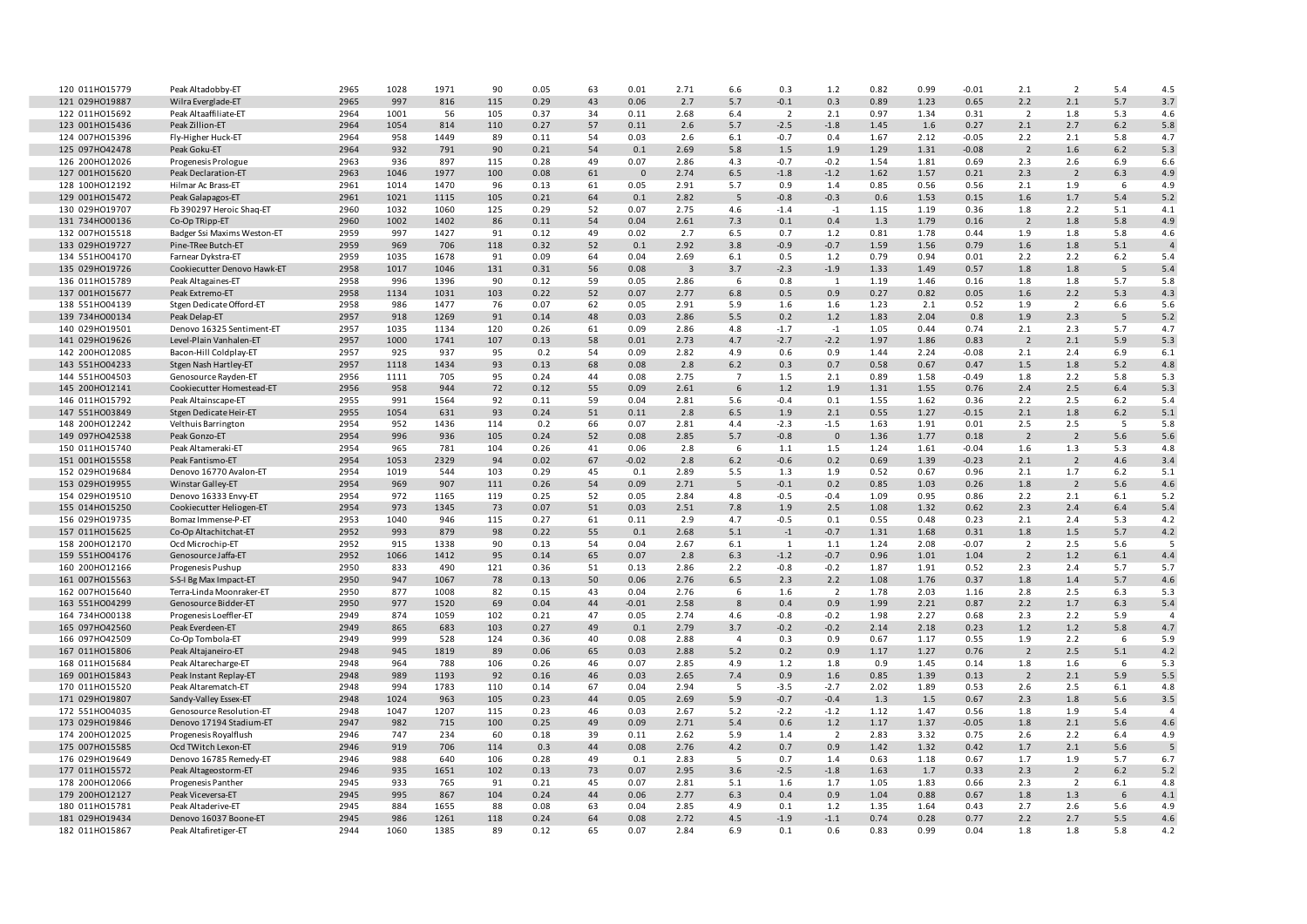| 120 011H015779 | Peak Altadobby-ET           | 2965 | 1028 | 1971 | 90  | 0.05 | 63 | 0.01     | 2.71                    | 6.6            | 0.3            | 1.2                     | 0.82 | 0.99 | $-0.01$ | 2.1            | $\overline{2}$ | 5.4   | 4.5            |
|----------------|-----------------------------|------|------|------|-----|------|----|----------|-------------------------|----------------|----------------|-------------------------|------|------|---------|----------------|----------------|-------|----------------|
| 121 029H019887 | Wilra Everglade-ET          | 2965 | 997  | 816  | 115 | 0.29 | 43 | 0.06     | 2.7                     | 5.7            | $-0.1$         | 0.3                     | 0.89 | 1.23 | 0.65    | 2.2            | 2.1            | 5.7   | 3.7            |
| 122 011H015692 | Peak Altaaffiliate-ET       | 2964 | 1001 | 56   | 105 | 0.37 | 34 | 0.11     | 2.68                    | 6.4            | $\overline{2}$ | 2.1                     | 0.97 | 1.34 | 0.31    | $\overline{2}$ | 1.8            | 5.3   | 4.6            |
| 123 001H015436 | Peak Zillion-ET             | 2964 | 1054 | 814  | 110 | 0.27 | 57 | 0.11     | 2.6                     | 5.7            | $-2.5$         | $-1.8$                  | 1.45 | 1.6  | 0.27    | 2.1            | 2.7            | $6.2$ | 5.8            |
| 124 007H015396 | Fly-Higher Huck-ET          | 2964 | 958  | 1449 | 89  | 0.11 | 54 | 0.03     | 2.6                     | 6.1            | -0.7           | 0.4                     | 1.67 | 2.12 | $-0.05$ | 2.2            | 2.1            | 5.8   | 4.7            |
| 125 097H042478 | Peak Goku-ET                | 2964 | 932  | 791  | 90  | 0.21 | 54 | 0.1      | 2.69                    | 5.8            | 1.5            | 1.9                     | 1.29 | 1.31 | $-0.08$ | $\overline{2}$ | 1.6            | 6.2   | 5.3            |
| 126 200HO12026 | Progenesis Prologue         | 2963 | 936  | 897  | 115 | 0.28 | 49 | 0.07     | 2.86                    | 4.3            | $-0.7$         | $-0.2$                  | 1.54 | 1.81 | 0.69    | 2.3            | 2.6            | 6.9   | 6.6            |
| 127 001H015620 | Peak Declaration-ET         | 2963 | 1046 | 1977 | 100 | 0.08 | 61 | $\Omega$ | 2.74                    | 6.5            | $-1.8$         | $-1.2$                  | 1.62 | 1.57 | 0.21    | 2.3            | $\overline{2}$ | 6.3   | 4.9            |
| 128 100HO12192 | Hilmar Ac Brass-ET          | 2961 | 1014 | 1470 | 96  | 0.13 | 61 | 0.05     | 2.91                    | 5.7            | 0.9            | 1.4                     | 0.85 | 0.56 | 0.56    | 2.1            | 1.9            | 6     | 4.9            |
| 129 001H015472 | Peak Galapagos-ET           | 2961 | 1021 | 1115 | 105 | 0.21 | 64 | 0.1      | 2.82                    | 5              | $-0.8$         | $-0.3$                  | 0.6  | 1.53 | 0.15    | 1.6            | 1.7            | 5.4   | 5.2            |
| 130 029H019707 | Fb 390297 Heroic Shaq-ET    | 2960 | 1032 | 1060 | 125 | 0.29 | 52 | 0.07     | 2.75                    | 4.6            | $-1.4$         | $-1$                    | 1.15 | 1.19 | 0.36    | 1.8            | 2.2            | 5.1   | 4.1            |
| 131 734H000136 | Co-Op TRipp-ET              | 2960 | 1002 | 1402 | 86  | 0.11 | 54 | 0.04     | 2.61                    | 7.3            | 0.1            | 0.4                     | 1.3  | 1.79 | 0.16    | $\overline{2}$ | 1.8            | 5.8   | 4.9            |
| 132 007H015518 | Badger Ssi Maxims Weston-ET | 2959 | 997  | 1427 | 91  | 0.12 | 49 | 0.02     | 2.7                     | 6.5            | 0.7            | 1.2                     | 0.81 | 1.78 | 0.44    | 1.9            | 1.8            | 5.8   | 4.6            |
| 133 029H019727 | Pine-TRee Butch-ET          | 2959 | 969  | 706  | 118 | 0.32 | 52 | 0.1      | 2.92                    | 3.8            | $-0.9$         | $-0.7$                  | 1.59 | 1.56 | 0.79    | 1.6            | 1.8            | 5.1   |                |
|                |                             |      |      |      |     |      |    |          |                         |                |                |                         |      |      |         |                |                |       |                |
| 134 551H004170 | Farnear Dykstra-ET          | 2959 | 1035 | 1678 | 91  | 0.09 | 64 | 0.04     | 2.69                    | 6.1            | 0.5            | 1.2                     | 0.79 | 0.94 | 0.01    | 2.2            | 2.2            | 6.2   | 5.4            |
| 135 029HO19726 | Cookiecutter Denovo Hawk-ET | 2958 | 1017 | 1046 | 131 | 0.31 | 56 | 0.08     | $\overline{\mathbf{3}}$ | 3.7            | $-2.3$         | $-1.9$                  | 1.33 | 1.49 | 0.57    | 1.8            | 1.8            | 5     | 5.4            |
| 136 011H015789 | Peak Altagaines-ET          | 2958 | 996  | 1396 | 90  | 0.12 | 59 | 0.05     | 2.86                    | 6              | 0.8            | 1                       | 1.19 | 1.46 | 0.16    | 1.8            | 1.8            | 5.7   | 5.8            |
| 137 001H015677 | Peak Extremo-ET             | 2958 | 1134 | 1031 | 103 | 0.22 | 52 | 0.07     | 2.77                    | 6.8            | 0.5            | 0.9                     | 0.27 | 0.82 | 0.05    | 1.6            | 2.2            | 5.3   | 4.3            |
| 138 551H004139 | Stgen Dedicate Offord-ET    | 2958 | 986  | 1477 | 76  | 0.07 | 62 | 0.05     | 2.91                    | 5.9            | 1.6            | 1.6                     | 1.23 | 2.1  | 0.52    | 1.9            | $\overline{2}$ | 6.6   | 5.6            |
| 139 734H000134 | Peak Delap-ET               | 2957 | 918  | 1269 | 91  | 0.14 | 48 | 0.03     | 2.86                    | 5.5            | 0.2            | 1.2                     | 1.83 | 2.04 | 0.8     | 1.9            | 2.3            | 5     | 5.2            |
| 140 029HO19501 | Denovo 16325 Sentiment-ET   | 2957 | 1035 | 1134 | 120 | 0.26 | 61 | 0.09     | 2.86                    | 4.8            | $-1.7$         | $-1$                    | 1.05 | 0.44 | 0.74    | 2.1            | 2.3            | 5.7   | 4.7            |
| 141 029H019626 | Level-Plain Vanhalen-ET     | 2957 | 1000 | 1741 | 107 | 0.13 | 58 | 0.01     | 2.73                    | 4.7            | $-2.7$         | $-2.2$                  | 1.97 | 1.86 | 0.83    | $\overline{2}$ | 2.1            | 5.9   | 5.3            |
| 142 200HO12085 | Bacon-Hill Coldplay-ET      | 2957 | 925  | 937  | 95  | 0.2  | 54 | 0.09     | 2.82                    | 4.9            | 0.6            | 0.9                     | 1.44 | 2.24 | $-0.08$ | 2.1            | 2.4            | 6.9   | 6.1            |
| 143 551H004233 | Stgen Nash Hartley-ET       | 2957 | 1118 | 1434 | 93  | 0.13 | 68 | 0.08     | 2.8                     | $6.2$          | 0.3            | 0.7                     | 0.58 | 0.67 | 0.47    | 1.5            | 1.8            | 5.2   | 4.8            |
| 144 551H004503 | Genosource Rayden-ET        | 2956 | 1111 | 705  | 95  | 0.24 | 44 | 0.08     | 2.75                    | $\overline{7}$ | 1.5            | 2.1                     | 0.89 | 1.58 | $-0.49$ | 1.8            | 2.2            | 5.8   | 5.3            |
| 145 200HO12141 | Cookiecutter Homestead-ET   | 2956 | 958  | 944  | 72  | 0.12 | 55 | 0.09     | 2.61                    | 6              | 1.2            | 1.9                     | 1.31 | 1.55 | 0.76    | 2.4            | 2.5            | 6.4   | 5.3            |
| 146 011H015792 | Peak Altainscape-ET         | 2955 | 991  | 1564 | 92  | 0.11 | 59 | 0.04     | 2.81                    | 5.6            | $-0.4$         | 0.1                     | 1.55 | 1.62 | 0.36    | 2.2            | 2.5            | $6.2$ | 5.4            |
| 147 551H003849 | Stgen Dedicate Heir-ET      | 2955 | 1054 | 631  | 93  | 0.24 | 51 | 0.11     | 2.8                     | 6.5            | 1.9            | 2.1                     | 0.55 | 1.27 | $-0.15$ | 2.1            | 1.8            | $6.2$ | 5.1            |
| 148 200HO12242 | Velthuis Barrington         | 2954 | 952  | 1436 | 114 | 0.2  | 66 | 0.07     | 2.81                    | 4.4            | $-2.3$         | $-1.5$                  | 1.63 | 1.91 | 0.01    | 2.5            | 2.5            | -5    | 5.8            |
| 149 097H042538 | Peak Gonzo-ET               | 2954 | 996  | 936  | 105 | 0.24 | 52 | 0.08     | 2.85                    | 5.7            | $-0.8$         | $\overline{\mathbf{0}}$ | 1.36 | 1.77 | 0.18    | $\overline{2}$ | $\overline{2}$ | 5.6   | 5.6            |
| 150 011H015740 | Peak Altameraki-ET          | 2954 | 965  | 781  | 104 | 0.26 | 41 | 0.06     | 2.8                     | 6              | 1.1            | 1.5                     | 1.24 | 1.61 | $-0.04$ | 1.6            | 1.3            | 5.3   | 4.8            |
|                |                             | 2954 | 1053 | 2329 |     | 0.02 | 67 | $-0.02$  | 2.8                     | 6.2            |                |                         | 0.69 | 1.39 | $-0.23$ | 2.1            | $\overline{2}$ | 4.6   | 3.4            |
| 151 001H015558 | Peak Fantismo-ET            |      |      |      | 94  |      |    |          |                         |                | $-0.6$         | 0.2                     |      |      |         |                |                |       |                |
| 152 029HO19684 | Denovo 16770 Avalon-ET      | 2954 | 1019 | 544  | 103 | 0.29 | 45 | 0.1      | 2.89                    | 5.5            | 1.3            | 1.9                     | 0.52 | 0.67 | 0.96    | 2.1            | 1.7            | $6.2$ | 5.1            |
| 153 029HO19955 | Winstar Galley-ET           | 2954 | 969  | 907  | 111 | 0.26 | 54 | 0.09     | 2.71                    | 5              | $-0.1$         | 0.2                     | 0.85 | 1.03 | 0.26    | 1.8            | $\overline{2}$ | 5.6   | 4.6            |
| 154 029HO19510 | Denovo 16333 Envy-ET        | 2954 | 972  | 1165 | 119 | 0.25 | 52 | 0.05     | 2.84                    | 4.8            | $-0.5$         | $-0.4$                  | 1.09 | 0.95 | 0.86    | 2.2            | 2.1            | 6.1   | 5.2            |
| 155 014H015250 | Cookiecutter Heliogen-ET    | 2954 | 973  | 1345 | 73  | 0.07 | 51 | 0.03     | 2.51                    | 7.8            | 1.9            | 2.5                     | 1.08 | 1.32 | 0.62    | 2.3            | 2.4            | 6.4   | 5.4            |
| 156 029H019735 | Bomaz Immense-P-ET          | 2953 | 1040 | 946  | 115 | 0.27 | 61 | 0.11     | 2.9                     | 4.7            | $-0.5$         | 0.1                     | 0.55 | 0.48 | 0.23    | 2.1            | 2.4            | 5.3   | 4.2            |
| 157 011H015625 | Co-Op Altachitchat-ET       | 2952 | 993  | 879  | 98  | 0.22 | 55 | 0.1      | 2.68                    | 5.1            | $-1$           | $-0.7$                  | 1.31 | 1.68 | 0.31    | 1.8            | 1.5            | 5.7   | 4.2            |
| 158 200HO12170 | Ocd Microchip-ET            | 2952 | 915  | 1338 | 90  | 0.13 | 54 | 0.04     | 2.67                    | 6.1            | 1              | 1.1                     | 1.24 | 2.08 | $-0.07$ | $\overline{2}$ | 2.5            | 5.6   | .5             |
| 159 551H004176 | Genosource Jaffa-ET         | 2952 | 1066 | 1412 | 95  | 0.14 | 65 | 0.07     | 2.8                     | 6.3            | $-1.2$         | $-0.7$                  | 0.96 | 1.01 | 1.04    | $\overline{2}$ | 1.2            | 6.1   | 4.4            |
| 160 200HO12166 | Progenesis Pushup           | 2950 | 833  | 490  | 121 | 0.36 | 51 | 0.13     | 2.86                    | 2.2            | $-0.8$         | $-0.2$                  | 1.87 | 1.91 | 0.52    | 2.3            | 2.4            | 5.7   | 5.7            |
| 161 007H015563 | S-S-I Bg Max Impact-ET      | 2950 | 947  | 1067 | 78  | 0.13 | 50 | 0.06     | 2.76                    | 6.5            | 2.3            | 2.2                     | 1.08 | 1.76 | 0.37    | 1.8            | 1.4            | 5.7   | 4.6            |
| 162 007H015640 | Terra-Linda Moonraker-ET    | 2950 | 877  | 1008 | 82  | 0.15 | 43 | 0.04     | 2.76                    | 6              | 1.6            | $\overline{2}$          | 1.78 | 2.03 | 1.16    | 2.8            | 2.5            | 6.3   | 5.3            |
| 163 551H004299 | Genosource Bidder-ET        | 2950 | 977  | 1520 | 69  | 0.04 | 44 | $-0.01$  | 2.58                    | 8              | 0.4            | 0.9                     | 1.99 | 2.21 | 0.87    | 2.2            | 1.7            | 6.3   | 5.4            |
| 164 734H000138 | Progenesis Loeffler-ET      | 2949 | 874  | 1059 | 102 | 0.21 | 47 | 0.05     | 2.74                    | 4.6            | $-0.8$         | $-0.2$                  | 1.98 | 2.27 | 0.68    | 2.3            | 2.2            | 5.9   | $\Delta$       |
| 165 097H042560 | Peak Everdeen-ET            | 2949 | 865  | 683  | 103 | 0.27 | 49 | 0.1      | 2.79                    | 3.7            | $-0.2$         | $-0.2$                  | 2.14 | 2.18 | 0.23    | 1.2            | 1.2            | 5.8   | 4.7            |
| 166 097H042509 | Co-Op Tombola-ET            | 2949 | 999  | 528  | 124 | 0.36 | 40 | 0.08     | 2.88                    | $\overline{a}$ | 0.3            | 0.9                     | 0.67 | 1.17 | 0.55    | 1.9            | 2.2            | 6     | 5.9            |
| 167 011H015806 | Peak Altajaneiro-ET         | 2948 | 945  | 1819 | 89  | 0.06 | 65 | 0.03     | 2.88                    | 5.2            | 0.2            | 0.9                     | 1.17 | 1.27 | 0.76    | $\overline{2}$ | 2.5            | 5.1   | 4.2            |
| 168 011H015684 | Peak Altarecharge-ET        | 2948 | 964  | 788  | 106 | 0.26 | 46 | 0.07     | 2.85                    | 4.9            | 1.2            | 1.8                     | 0.9  | 1.45 | 0.14    | 1.8            | 1.6            | 6     | 5.3            |
| 169 001H015843 | Peak Instant Replay-ET      | 2948 | 989  | 1193 | 92  | 0.16 | 46 | 0.03     | 2.65                    | 7.4            | 0.9            | 1.6                     | 0.85 | 1.39 | 0.13    | $\overline{2}$ | 2.1            | 5.9   | 5.5            |
| 170 011H015520 |                             | 2948 | 994  | 1783 | 110 | 0.14 | 67 | 0.04     | 2.94                    | 5              | $-3.5$         | $-2.7$                  | 2.02 | 1.89 | 0.53    | 2.6            | 2.5            | 6.1   | 4.8            |
|                | Peak Altarematch-ET         |      |      |      |     |      |    |          |                         |                |                |                         |      |      |         |                |                |       |                |
| 171 029H019807 | Sandy-Valley Essex-ET       | 2948 | 1024 | 963  | 105 | 0.23 | 44 | 0.05     | 2.69                    | 5.9            | $-0.7$         | $-0.4$                  | 1.3  | 1.5  | 0.67    | 2.3            | 1.8            | 5.6   | 3.5            |
| 172 551H004035 | Genosource Resolution-ET    | 2948 | 1047 | 1207 | 115 | 0.23 | 46 | 0.03     | 2.67                    | 5.2            | $-2.2$         | $-1.2$                  | 1.12 | 1.47 | 0.56    | 1.8            | 1.9            | 5.4   | $\overline{a}$ |
| 173 029HO19846 | Denovo 17194 Stadium-ET     | 2947 | 982  | 715  | 100 | 0.25 | 49 | 0.09     | 2.71                    | 5.4            | 0.6            | 1.2                     | 1.17 | 1.37 | $-0.05$ | 1.8            | 2.1            | 5.6   | 4.6            |
| 174 200HO12025 | Progenesis Royalflush       | 2946 | 747  | 234  | 60  | 0.18 | 39 | 0.11     | 2.62                    | 5.9            | 1.4            | $\overline{2}$          | 2.83 | 3.32 | 0.75    | 2.6            | 2.2            | 6.4   | 4.9            |
| 175 007H015585 | Ocd TWitch Lexon-ET         | 2946 | 919  | 706  | 114 | 0.3  | 44 | 0.08     | 2.76                    | 4.2            | 0.7            | 0.9                     | 1.42 | 1.32 | 0.42    | 1.7            | 2.1            | 5.6   | 5              |
| 176 029HO19649 | Denovo 16785 Remedy-ET      | 2946 | 988  | 640  | 106 | 0.28 | 49 | 0.1      | 2.83                    | 5              | 0.7            | 1.4                     | 0.63 | 1.18 | 0.67    | 1.7            | 1.9            | 5.7   | 6.7            |
| 177 011H015572 | Peak Altageostorm-ET        | 2946 | 935  | 1651 | 102 | 0.13 | 73 | 0.07     | 2.95                    | 3.6            | $-2.5$         | $-1.8$                  | 1.63 | 1.7  | 0.33    | 2.3            | $\overline{2}$ | $6.2$ | 5.2            |
| 178 200HO12066 | Progenesis Panther          | 2945 | 933  | 765  | 91  | 0.21 | 45 | 0.07     | 2.81                    | 5.1            | 1.6            | 1.7                     | 1.05 | 1.83 | 0.66    | 2.3            | $\overline{2}$ | 6.1   | 4.8            |
| 179 200HO12127 | Peak Viceversa-ET           | 2945 | 995  | 867  | 104 | 0.24 | 44 | 0.06     | 2.77                    | 6.3            | 0.4            | 0.9                     | 1.04 | 0.88 | 0.67    | 1.8            | 1.3            | 6     | 4.1            |
| 180 011H015781 | Peak Altaderive-ET          | 2945 | 884  | 1655 | 88  | 0.08 | 63 | 0.04     | 2.85                    | 4.9            | 0.1            | 1.2                     | 1.35 | 1.64 | 0.43    | 2.7            | 2.6            | 5.6   | 4.9            |
| 181 029H019434 | Denovo 16037 Boone-ET       | 2945 | 986  | 1261 | 118 | 0.24 | 64 | 0.08     | 2.72                    | 4.5            | $-1.9$         | $-1.1$                  | 0.74 | 0.28 | 0.77    | 2.2            | 2.7            | 5.5   | 4.6            |
| 182 011H015867 | Peak Altafiretiger-ET       | 2944 | 1060 | 1385 | 89  | 0.12 | 65 | 0.07     | 2.84                    | 6.9            | 0.1            | 0.6                     | 0.83 | 0.99 | 0.04    | 1.8            | 1.8            | 5.8   | 4.2            |
|                |                             |      |      |      |     |      |    |          |                         |                |                |                         |      |      |         |                |                |       |                |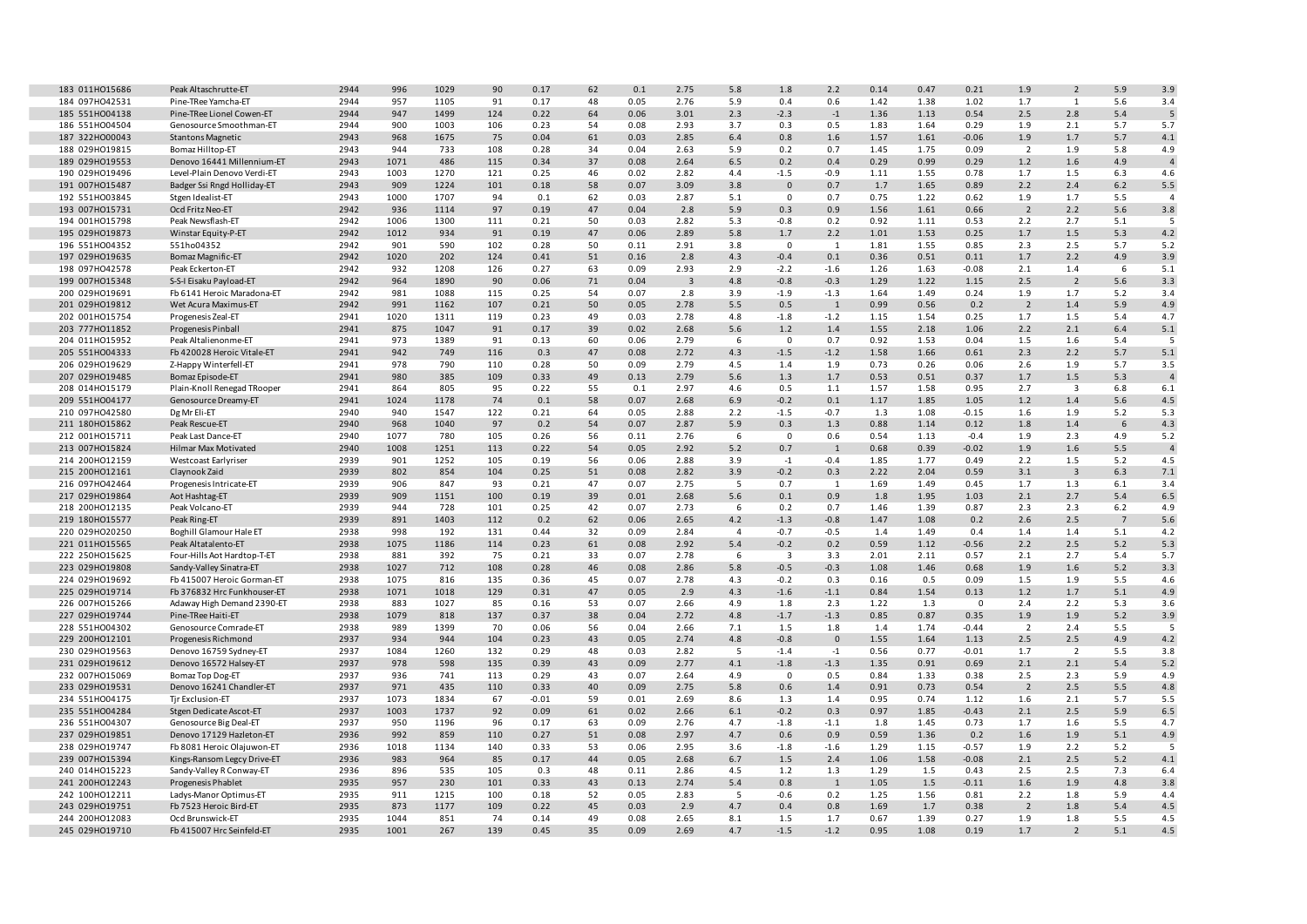| 183 011H015686 | Peak Altaschrutte-ET        | 2944 | 996  | 1029 | 90  | 0.17    | 62 | 0.1  | 2.75           | 5.8            | 1.8                     | 2.2          | 0.14 | 0.47 | 0.21        | 1.9            | $\overline{2}$ | 5.9             | 3.9            |
|----------------|-----------------------------|------|------|------|-----|---------|----|------|----------------|----------------|-------------------------|--------------|------|------|-------------|----------------|----------------|-----------------|----------------|
| 184 097H042531 | Pine-TRee Yamcha-ET         | 2944 | 957  | 1105 | 91  | 0.17    | 48 | 0.05 | 2.76           | 5.9            | 0.4                     | 0.6          | 1.42 | 1.38 | 1.02        | 1.7            | $\mathbf{1}$   | 5.6             | 3.4            |
| 185 551H004138 | Pine-TRee Lionel Cowen-ET   | 2944 | 947  | 1499 | 124 | 0.22    | 64 | 0.06 | 3.01           | 2.3            | $-2.3$                  | $-1$         | 1.36 | 1.13 | 0.54        | 2.5            | 2.8            | 5.4             | 5              |
| 186 551H004504 | Genosource Smoothman-ET     | 2944 | 900  | 1003 | 106 | 0.23    | 54 | 0.08 | 2.93           | 3.7            | 0.3                     | 0.5          | 1.83 | 1.64 | 0.29        | 1.9            | 2.1            | 5.7             | 5.7            |
|                |                             |      |      |      |     |         |    |      |                |                |                         |              |      |      |             |                |                |                 |                |
| 187 322H000043 | <b>Stantons Magnetic</b>    | 2943 | 968  | 1675 | 75  | 0.04    | 61 | 0.03 | 2.85           | 6.4            | 0.8                     | 1.6          | 1.57 | 1.61 | $-0.06$     | 1.9            | 1.7            | 5.7             | 4.1            |
| 188 029H019815 | Bomaz Hilltop-ET            | 2943 | 944  | 733  | 108 | 0.28    | 34 | 0.04 | 2.63           | 5.9            | 0.2                     | 0.7          | 1.45 | 1.75 | 0.09        | $\overline{2}$ | 1.9            | 5.8             | 4.9            |
| 189 029H019553 | Denovo 16441 Millennium-ET  | 2943 | 1071 | 486  | 115 | 0.34    | 37 | 0.08 | 2.64           | 6.5            | 0.2                     | 0.4          | 0.29 | 0.99 | 0.29        | $1.2$          | 1.6            | 4.9             | $\overline{a}$ |
| 190 029HO19496 | Level-Plain Denovo Verdi-ET | 2943 | 1003 | 1270 | 121 | 0.25    | 46 | 0.02 | 2.82           | 4.4            | $-1.5$                  | $-0.9$       | 1.11 | 1.55 | 0.78        | 1.7            | 1.5            | 6.3             | 4.6            |
|                |                             |      |      |      |     |         |    |      |                |                |                         |              |      |      |             |                |                |                 |                |
| 191 007H015487 | Badger Ssi Rngd Holliday-ET | 2943 | 909  | 1224 | 101 | 0.18    | 58 | 0.07 | 3.09           | 3.8            | $\mathsf{O}\xspace$     | 0.7          | 1.7  | 1.65 | 0.89        | 2.2            | 2.4            | $6.2$           | 5.5            |
| 192 551H003845 | Stgen Idealist-ET           | 2943 | 1000 | 1707 | 94  | 0.1     | 62 | 0.03 | 2.87           | 5.1            | $\Omega$                | 0.7          | 0.75 | 1.22 | 0.62        | 1.9            | 1.7            | 5.5             | $\overline{4}$ |
| 193 007H015731 | Ocd Fritz Neo-ET            | 2942 | 936  | 1114 | 97  | 0.19    | 47 | 0.04 | 2.8            | 5.9            | 0.3                     | 0.9          | 1.56 | 1.61 | 0.66        | $\overline{2}$ | 2.2            | 5.6             | 3.8            |
|                |                             |      |      |      |     |         |    |      |                |                |                         |              |      |      |             |                | 2.7            |                 | 5              |
| 194 001H015798 | Peak Newsflash-ET           | 2942 | 1006 | 1300 | 111 | 0.21    | 50 | 0.03 | 2.82           | 5.3            | $-0.8$                  | 0.2          | 0.92 | 1.11 | 0.53        | 2.2            |                | 5.1             |                |
| 195 029HO19873 | Winstar Equity-P-ET         | 2942 | 1012 | 934  | 91  | 0.19    | 47 | 0.06 | 2.89           | $5.8\,$        | 1.7                     | 2.2          | 1.01 | 1.53 | 0.25        | 1.7            | $1.5$          | 5.3             | 4.2            |
| 196 551H004352 | 551ho04352                  | 2942 | 901  | 590  | 102 | 0.28    | 50 | 0.11 | 2.91           | 3.8            | $\mathbf 0$             | 1            | 1.81 | 1.55 | 0.85        | 2.3            | 2.5            | 5.7             | 5.2            |
| 197 029HO19635 | <b>Bomaz Magnific-ET</b>    | 2942 | 1020 | 202  | 124 | 0.41    | 51 | 0.16 | 2.8            | 4.3            | $-0.4$                  | 0.1          | 0.36 | 0.51 | 0.11        | 1.7            | 2.2            | 4.9             | 3.9            |
|                |                             |      |      |      |     |         |    |      |                |                |                         |              |      |      |             |                |                |                 |                |
| 198 097H042578 | Peak Eckerton-ET            | 2942 | 932  | 1208 | 126 | 0.27    | 63 | 0.09 | 2.93           | 2.9            | $-2.2$                  | $-1.6$       | 1.26 | 1.63 | $-0.08$     | 2.1            | 1.4            | 6               | 5.1            |
| 199 007HO15348 | S-S-I Eisaku Payload-ET     | 2942 | 964  | 1890 | 90  | 0.06    | 71 | 0.04 | $\overline{3}$ | 4.8            | $-0.8$                  | $-0.3$       | 1.29 | 1.22 | 1.15        | 2.5            | $\overline{2}$ | 5.6             | 3.3            |
| 200 029HO19691 | Fb 6141 Heroic Maradona-ET  | 2942 | 981  | 1088 | 115 | 0.25    | 54 | 0.07 | 2.8            | 3.9            | $-1.9$                  | $-1.3$       | 1.64 | 1.49 | 0.24        | 1.9            | 1.7            | 5.2             | 3.4            |
| 201 029H019812 | Wet Acura Maximus-ET        | 2942 | 991  | 1162 | 107 | 0.21    | 50 | 0.05 | 2.78           | 5.5            | 0.5                     | $\mathbf{1}$ | 0.99 | 0.56 | 0.2         | $\overline{2}$ | 1.4            | 5.9             | 4.9            |
| 202 001H015754 |                             | 2941 | 1020 | 1311 | 119 | 0.23    | 49 | 0.03 | 2.78           | 4.8            | $-1.8$                  | $-1.2$       | 1.15 | 1.54 | 0.25        | 1.7            | 1.5            | 5.4             | 4.7            |
|                | Progenesis Zeal-ET          |      |      |      |     |         |    |      |                |                |                         |              |      |      |             |                |                |                 |                |
| 203 777H011852 | Progenesis Pinball          | 2941 | 875  | 1047 | 91  | 0.17    | 39 | 0.02 | 2.68           | 5.6            | 1.2                     | 1.4          | 1.55 | 2.18 | 1.06        | 2.2            | 2.1            | 6.4             | 5.1            |
| 204 011H015952 | Peak Altalienonme-ET        | 2941 | 973  | 1389 | 91  | 0.13    | 60 | 0.06 | 2.79           | 6              | 0                       | 0.7          | 0.92 | 1.53 | 0.04        | 1.5            | 1.6            | 5.4             | -5             |
| 205 551H004333 | Fb 420028 Heroic Vitale-ET  | 2941 | 942  | 749  | 116 | 0.3     | 47 | 0.08 | 2.72           | 4.3            | $-1.5$                  | $-1.2$       | 1.58 | 1.66 | 0.61        | 2.3            | 2.2            | 5.7             | 5.1            |
| 206 029HO19629 | Z-Happy Winterfell-ET       | 2941 | 978  | 790  | 110 | 0.28    | 50 | 0.09 | 2.79           | 4.5            | 1.4                     | 1.9          | 0.73 | 0.26 | 0.06        | 2.6            | 1.9            | 5.7             | 3.5            |
|                |                             |      |      |      |     |         |    |      |                |                |                         |              |      |      |             |                |                |                 |                |
| 207 029HO19485 | Bomaz Episode-ET            | 2941 | 980  | 385  | 109 | 0.33    | 49 | 0.13 | 2.79           | 5.6            | 1.3                     | 1.7          | 0.53 | 0.51 | 0.37        | 1.7            | 1.5            | 5.3             | $\overline{4}$ |
| 208 014H015179 | Plain-Knoll Renegad TRooper | 2941 | 864  | 805  | 95  | 0.22    | 55 | 0.1  | 2.97           | 4.6            | 0.5                     | 1.1          | 1.57 | 1.58 | 0.95        | 2.7            | $\overline{3}$ | 6.8             | 6.1            |
| 209 551H004177 | Genosource Dreamy-ET        | 2941 | 1024 | 1178 | 74  | 0.1     | 58 | 0.07 | 2.68           | 6.9            | $-0.2$                  | 0.1          | 1.17 | 1.85 | 1.05        | 1.2            | 1.4            | 5.6             | 4.5            |
| 210 097H042580 | Dg Mr Eli-ET                | 2940 | 940  | 1547 | 122 | 0.21    | 64 | 0.05 | 2.88           | 2.2            | $-1.5$                  | $-0.7$       | 1.3  | 1.08 | $-0.15$     | 1.6            | 1.9            | 5.2             | 5.3            |
|                |                             |      |      |      |     |         |    |      |                |                |                         |              |      |      |             |                |                |                 |                |
| 211 180HO15862 | Peak Rescue-ET              | 2940 | 968  | 1040 | 97  | 0.2     | 54 | 0.07 | 2.87           | 5.9            | 0.3                     | 1.3          | 0.88 | 1.14 | 0.12        | 1.8            | $1.4$          | 6               | 4.3            |
| 212 001H015711 | Peak Last Dance-ET          | 2940 | 1077 | 780  | 105 | 0.26    | 56 | 0.11 | 2.76           | 6              | $^{\circ}$              | 0.6          | 0.54 | 1.13 | $-0.4$      | 1.9            | 2.3            | 4.9             | 5.2            |
| 213 007H015824 | Hilmar Max Motivated        | 2940 | 1008 | 1251 | 113 | 0.22    | 54 | 0.05 | 2.92           | 5.2            | 0.7                     | $\mathbf{1}$ | 0.68 | 0.39 | $-0.02$     | 1.9            | 1.6            | 5.5             | $\overline{4}$ |
| 214 200HO12159 | Westcoast Earlyriser        | 2939 | 901  | 1252 | 105 | 0.19    | 56 | 0.06 | 2.88           | 3.9            | $-1$                    | $-0.4$       | 1.85 | 1.77 | 0.49        | 2.2            | 1.5            | 5.2             | 4.5            |
|                |                             |      |      |      | 104 | 0.25    |    |      | 2.82           | 3.9            |                         |              | 2.22 | 2.04 | 0.59        |                | $\overline{3}$ | 6.3             | 7.1            |
| 215 200HO12161 | Claynook Zaid               | 2939 | 802  | 854  |     |         | 51 | 0.08 |                |                | $-0.2$                  | 0.3          |      |      |             | 3.1            |                |                 |                |
| 216 097H042464 | Progenesis Intricate-ET     | 2939 | 906  | 847  | 93  | 0.21    | 47 | 0.07 | 2.75           | 5              | 0.7                     | 1            | 1.69 | 1.49 | 0.45        | 1.7            | 1.3            | 6.1             | 3.4            |
| 217 029HO19864 | Aot Hashtag-ET              | 2939 | 909  | 1151 | 100 | 0.19    | 39 | 0.01 | 2.68           | 5.6            | 0.1                     | 0.9          | 1.8  | 1.95 | 1.03        | 2.1            | 2.7            | 5.4             | 6.5            |
| 218 200HO12135 | Peak Volcano-ET             | 2939 | 944  | 728  | 101 | 0.25    | 42 | 0.07 | 2.73           | 6              | 0.2                     | 0.7          | 1.46 | 1.39 | 0.87        | 2.3            | 2.3            | $6.2$           | 4.9            |
| 219 180HO15577 |                             | 2939 | 891  | 1403 | 112 | 0.2     | 62 | 0.06 | 2.65           | 4.2            | $-1.3$                  | $-0.8$       | 1.47 | 1.08 | 0.2         | 2.6            | 2.5            | $7\overline{ }$ | 5.6            |
|                | Peak Ring-ET                |      |      |      |     |         |    |      |                |                |                         |              |      |      |             |                |                |                 |                |
| 220 029HO20250 | Boghill Glamour Hale ET     | 2938 | 998  | 192  | 131 | 0.44    | 32 | 0.09 | 2.84           | $\overline{4}$ | $-0.7$                  | $-0.5$       | 1.4  | 1.49 | 0.4         | 1.4            | 1.4            | 5.1             | 4.2            |
| 221 011H015565 | Peak Altatalento-ET         | 2938 | 1075 | 1186 | 114 | 0.23    | 61 | 0.08 | 2.92           | 5.4            | $-0.2$                  | 0.2          | 0.59 | 1.12 | $-0.56$     | 2.2            | 2.5            | 5.2             | 5.3            |
| 222 250HO15625 | Four-Hills Aot Hardtop-T-ET | 2938 | 881  | 392  | 75  | 0.21    | 33 | 0.07 | 2.78           | 6              | $\overline{\mathbf{3}}$ | 3.3          | 2.01 | 2.11 | 0.57        | 2.1            | 2.7            | 5.4             | 5.7            |
| 223 029H019808 | Sandy-Valley Sinatra-ET     | 2938 | 1027 | 712  | 108 | 0.28    | 46 | 0.08 | 2.86           | $5.8\,$        | $-0.5$                  | $-0.3$       | 1.08 | 1.46 | 0.68        | 1.9            | 1.6            | $5.2$           | 3.3            |
|                |                             |      |      |      |     |         |    |      |                |                |                         |              |      |      |             |                |                |                 |                |
| 224 029HO19692 | Fb 415007 Heroic Gorman-ET  | 2938 | 1075 | 816  | 135 | 0.36    | 45 | 0.07 | 2.78           | 4.3            | $-0.2$                  | 0.3          | 0.16 | 0.5  | 0.09        | 1.5            | 1.9            | 5.5             | 4.6            |
| 225 029HO19714 | Fb 376832 Hrc Funkhouser-ET | 2938 | 1071 | 1018 | 129 | 0.31    | 47 | 0.05 | 2.9            | 4.3            | $-1.6$                  | $-1.1$       | 0.84 | 1.54 | 0.13        | 1.2            | 1.7            | 5.1             | 4.9            |
| 226 007H015266 | Adaway High Demand 2390-ET  | 2938 | 883  | 1027 | 85  | 0.16    | 53 | 0.07 | 2.66           | 4.9            | 1.8                     | 2.3          | 1.22 | 1.3  | $\mathbf 0$ | 2.4            | 2.2            | 5.3             | 3.6            |
| 227 029HO19744 | Pine-TRee Haiti-ET          | 2938 | 1079 | 818  | 137 | 0.37    | 38 | 0.04 | 2.72           | 4.8            | $-1.7$                  | $-1.3$       | 0.85 | 0.87 | 0.35        | 1.9            | 1.9            | 5.2             | 3.9            |
|                |                             |      |      |      |     |         |    |      |                |                |                         |              |      |      |             |                |                |                 |                |
| 228 551H004302 | Genosource Comrade-ET       | 2938 | 989  | 1399 | 70  | 0.06    | 56 | 0.04 | 2.66           | 7.1            | 1.5                     | 1.8          | 1.4  | 1.74 | $-0.44$     | $\overline{2}$ | 2.4            | 5.5             | .5             |
| 229 200HO12101 | Progenesis Richmond         | 2937 | 934  | 944  | 104 | 0.23    | 43 | 0.05 | 2.74           | 4.8            | $-0.8$                  | $\mathbf{0}$ | 1.55 | 1.64 | 1.13        | 2.5            | 2.5            | 4.9             | 4.2            |
| 230 029HO19563 | Denovo 16759 Sydney-ET      | 2937 | 1084 | 1260 | 132 | 0.29    | 48 | 0.03 | 2.82           | 5              | $-1.4$                  | $-1$         | 0.56 | 0.77 | $-0.01$     | 1.7            | $\overline{2}$ | 5.5             | 3.8            |
| 231 029H019612 | Denovo 16572 Halsey-ET      | 2937 | 978  | 598  | 135 | 0.39    | 43 | 0.09 | 2.77           | 4.1            | $-1.8$                  | $-1.3$       | 1.35 | 0.91 | 0.69        | 2.1            | 2.1            | 5.4             | 5.2            |
|                |                             |      |      |      |     |         |    |      |                |                |                         |              |      |      |             |                |                |                 |                |
| 232 007H015069 | Bomaz Top Dog-ET            | 2937 | 936  | 741  | 113 | 0.29    | 43 | 0.07 | 2.64           | 4.9            | 0                       | 0.5          | 0.84 | 1.33 | 0.38        | 2.5            | 2.3            | 5.9             | 4.9            |
| 233 029HO19531 | Denovo 16241 Chandler-ET    | 2937 | 971  | 435  | 110 | 0.33    | 40 | 0.09 | 2.75           | $5.8\,$        | 0.6                     | 1.4          | 0.91 | 0.73 | 0.54        | $\overline{2}$ | 2.5            | 5.5             | 4.8            |
| 234 551H004175 | Tir Exclusion-ET            | 2937 | 1073 | 1834 | 67  | $-0.01$ | 59 | 0.01 | 2.69           | 8.6            | 1.3                     | 1.4          | 0.95 | 0.74 | 1.12        | 1.6            | 2.1            | 5.7             | 5.5            |
| 235 551H004284 | Stgen Dedicate Ascot-ET     | 2937 | 1003 | 1737 | 92  | 0.09    | 61 | 0.02 | 2.66           | 6.1            | $-0.2$                  | 0.3          | 0.97 | 1.85 | $-0.43$     | 2.1            | 2.5            | 5.9             | 6.5            |
|                |                             |      |      |      |     |         |    |      |                |                |                         |              |      |      |             |                |                |                 |                |
| 236 551H004307 | Genosource Big Deal-ET      | 2937 | 950  | 1196 | 96  | 0.17    | 63 | 0.09 | 2.76           | 4.7            | $-1.8$                  | $-1.1$       | 1.8  | 1.45 | 0.73        | 1.7            | 1.6            | 5.5             | 4.7            |
| 237 029H019851 | Denovo 17129 Hazleton-ET    | 2936 | 992  | 859  | 110 | 0.27    | 51 | 0.08 | 2.97           | 4.7            | 0.6                     | 0.9          | 0.59 | 1.36 | 0.2         | 1.6            | 1.9            | 5.1             | 4.9            |
| 238 029H019747 | Fb 8081 Heroic Olajuwon-ET  | 2936 | 1018 | 1134 | 140 | 0.33    | 53 | 0.06 | 2.95           | 3.6            | $-1.8$                  | $-1.6$       | 1.29 | 1.15 | $-0.57$     | 1.9            | 2.2            | 5.2             | .5             |
| 239 007H015394 | Kings-Ransom Legcy Drive-ET | 2936 | 983  | 964  | 85  | 0.17    | 44 | 0.05 | 2.68           | 6.7            | 1.5                     | 2.4          | 1.06 | 1.58 | $-0.08$     | 2.1            | 2.5            | $5.2$           | 4.1            |
|                |                             |      |      |      |     |         |    |      |                |                |                         |              |      |      |             |                |                |                 |                |
| 240 014H015223 | Sandy-Valley R Conway-ET    | 2936 | 896  | 535  | 105 | 0.3     | 48 | 0.11 | 2.86           | 4.5            | 1.2                     | 1.3          | 1.29 | 1.5  | 0.43        | 2.5            | 2.5            | 7.3             | 6.4            |
| 241 200HO12243 | Progenesis Phablet          | 2935 | 957  | 230  | 101 | 0.33    | 43 | 0.13 | 2.74           | 5.4            | 0.8                     | $\mathbf{1}$ | 1.05 | 1.5  | $-0.11$     | 1.6            | 1.9            | 4.8             | 3.8            |
| 242 100HO12211 | Ladys-Manor Optimus-ET      | 2935 | 911  | 1215 | 100 | 0.18    | 52 | 0.05 | 2.83           | 5              | $-0.6$                  | 0.2          | 1.25 | 1.56 | 0.81        | 2.2            | 1.8            | 5.9             | 4.4            |
| 243 029HO19751 | Fb 7523 Heroic Bird-ET      | 2935 | 873  | 1177 | 109 | 0.22    | 45 | 0.03 | 2.9            | 4.7            | 0.4                     | 0.8          | 1.69 | 1.7  | 0.38        | $\overline{2}$ | 1.8            | 5.4             | 4.5            |
|                |                             |      |      |      |     |         |    |      |                |                |                         |              |      |      |             |                |                |                 |                |
| 244 200HO12083 | Ocd Brunswick-ET            | 2935 | 1044 | 851  | 74  | 0.14    | 49 | 0.08 | 2.65           | 8.1            | 1.5                     | 1.7          | 0.67 | 1.39 | 0.27        | 1.9            | 1.8            | 5.5             | 4.5            |
| 245 029HO19710 | Fb 415007 Hrc Seinfeld-ET   | 2935 | 1001 | 267  | 139 | 0.45    | 35 | 0.09 | 2.69           | 4.7            | $-1.5$                  | $-1.2$       | 0.95 | 1.08 | 0.19        | 1.7            | $\overline{2}$ | 5.1             | 4.5            |
|                |                             |      |      |      |     |         |    |      |                |                |                         |              |      |      |             |                |                |                 |                |